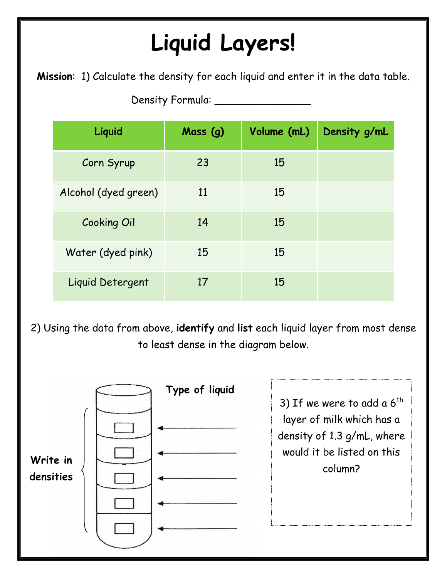## **Liquid Layers!**

**Mission**: 1) Calculate the density for each liquid and enter it in the data table.

Density Formula: \_\_\_\_\_\_\_\_\_\_\_\_\_\_\_

| $O1$ Density T of multiple $\frac{1}{2}$ |          |             |              |
|------------------------------------------|----------|-------------|--------------|
| Liquid                                   | Mass (g) | Volume (mL) | Density g/mL |
| Corn Syrup                               | 23       | 15          |              |
| Alcohol (dyed green)                     | 11       | 15          |              |
| <b>Cooking Oil</b>                       | 14       | 15          |              |
| Water (dyed pink)                        | 15       | 15          |              |
| Liquid Detergent                         | 17       | 15          |              |

2) Using the data from above, **identify** and **list** each liquid layer from most dense to least dense in the diagram below.